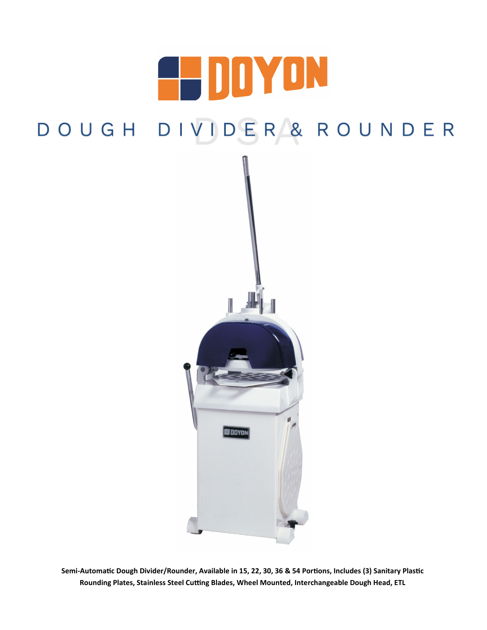# 4 DDYON DOUGH DIVIDER & ROUNDER



**Semi-Automatic Dough Divider/Rounder, Available in 15, 22, 30, 36 & 54 Portions, Includes (3) Sanitary Plastic Rounding Plates, Stainless Steel Cutting Blades, Wheel Mounted, Interchangeable Dough Head, ETL**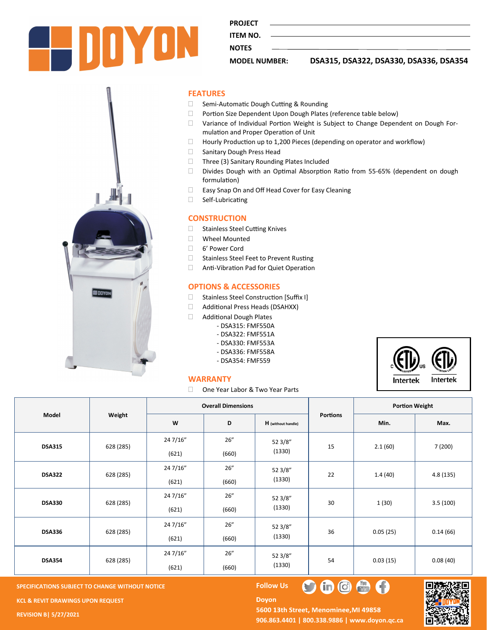

**PROJECT** 

**NOTES** 

**ITEM NO.** 

### **MODEL NUMBER: DSA315, DSA322, DSA330, DSA336, DSA354**

#### **FEATURES**

- □ Semi-Automatic Dough Cutting & Rounding
- Portion Size Dependent Upon Dough Plates (reference table below)
- Variance of Individual Portion Weight is Subject to Change Dependent on Dough Formulation and Proper Operation of Unit
- $\Box$  Hourly Production up to 1,200 Pieces (depending on operator and workflow)
- □ Sanitary Dough Press Head
- □ Three (3) Sanitary Rounding Plates Included
- Divides Dough with an Optimal Absorption Ratio from 55-65% (dependent on dough formulation)
- □ Easy Snap On and Off Head Cover for Easy Cleaning
- Self-Lubricating

#### **CONSTRUCTION**

- □ Stainless Steel Cutting Knives
- Wheel Mounted
- 6' Power Cord
- □ Stainless Steel Feet to Prevent Rusting
- Anti-Vibration Pad for Quiet Operation

#### **OPTIONS & ACCESSORIES**

- □ Stainless Steel Construction [Suffix I]
- Additional Press Heads (DSAHXX)
- □ Additional Dough Plates
	- DSA315: FMF550A
		- DSA322: FMF551A
		- DSA330: FMF553A
		- DSA336: FMF558A
		- DSA354: FMF559



#### **WARRANTY**

□ One Year Labor & Two Year Parts

| Model         | Weight    | <b>Overall Dimensions</b> |               |                    |                 | <b>Portion Weight</b> |          |
|---------------|-----------|---------------------------|---------------|--------------------|-----------------|-----------------------|----------|
|               |           | W                         | D             | H (without handle) | <b>Portions</b> | Min.                  | Max.     |
| <b>DSA315</b> | 628 (285) | 24 7/16"<br>(621)         | 26''<br>(660) | 52 3/8"<br>(1330)  | 15              | 2.1(60)               | 7(200)   |
| <b>DSA322</b> | 628 (285) | 24 7/16"<br>(621)         | 26''<br>(660) | 52 3/8"<br>(1330)  | 22              | 1.4(40)               | 4.8(135) |
| <b>DSA330</b> | 628 (285) | 24 7/16"<br>(621)         | 26''<br>(660) | 52 3/8"<br>(1330)  | 30              | 1(30)                 | 3.5(100) |
| <b>DSA336</b> | 628 (285) | 24 7/16"<br>(621)         | 26''<br>(660) | 52 3/8"<br>(1330)  | 36              | 0.05(25)              | 0.14(66) |
| <b>DSA354</b> | 628 (285) | 24 7/16"<br>(621)         | 26''<br>(660) | 52 3/8"<br>(1330)  | 54              | 0.03(15)              | 0.08(40) |

**SPECIFICATIONS SUBJECT TO CHANGE WITHOUT NOTICE FOLLOW US** 

**KCL & REVIT DRAWINGS UPON REQUEST** 

**REVISION B| 5/27/2021**

**Doyon** 

5600 13th Street, Menominee, MI 49858 **906.863.4401 | 800.338.9886 | [www.doyon.qc.ca](http://www.doyon.qc.ca/)**

 $\mathbf{O} \oplus \mathbf{O}$